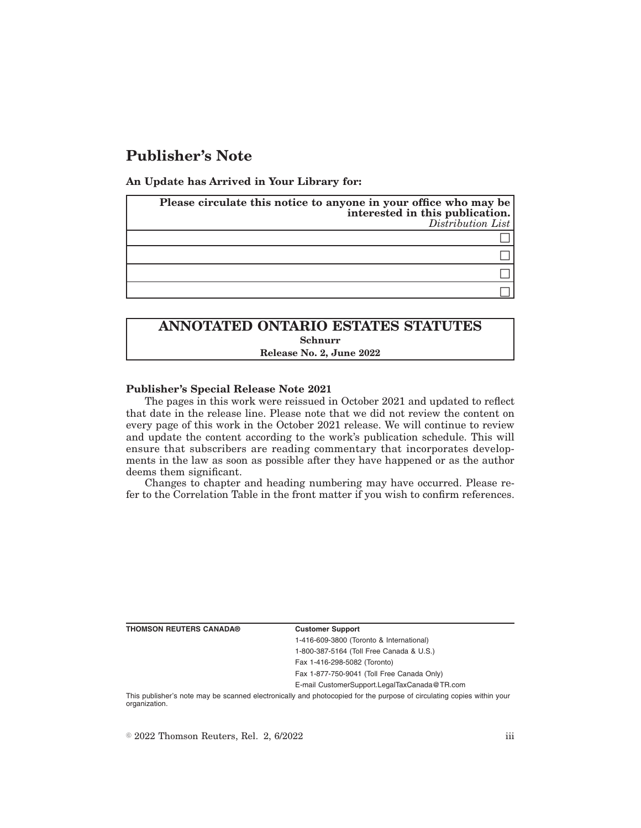# **Publisher's Note**

**An Update has Arrived in Your Library for:**

| Please circulate this notice to anyone in your office who may be<br>interested in this publication.<br>Distribution List |
|--------------------------------------------------------------------------------------------------------------------------|
|                                                                                                                          |
|                                                                                                                          |
|                                                                                                                          |
|                                                                                                                          |

## **ANNOTATED ONTARIO ESTATES STATUTES Schnurr Release No. 2, June 2022**

### **Publisher's Special Release Note 2021**

The pages in this work were reissued in October 2021 and updated to reflect that date in the release line. Please note that we did not review the content on every page of this work in the October 2021 release. We will continue to review and update the content according to the work's publication schedule. This will ensure that subscribers are reading commentary that incorporates developments in the law as soon as possible after they have happened or as the author deems them significant.

Changes to chapter and heading numbering may have occurred. Please refer to the Correlation Table in the front matter if you wish to confirm references.

**THOMSON REUTERS CANADA® Customer Support**

1-416-609-3800 (Toronto & International) 1-800-387-5164 (Toll Free Canada & U.S.)

Fax 1-416-298-5082 (Toronto)

Fax 1-877-750-9041 (Toll Free Canada Only)

E-mail CustomerSupport.LegalTaxCanada@TR.com

This publisher's note may be scanned electronically and photocopied for the purpose of circulating copies within your organization.

 $\degree$  2022 Thomson Reuters, Rel. 2, 6/2022 iii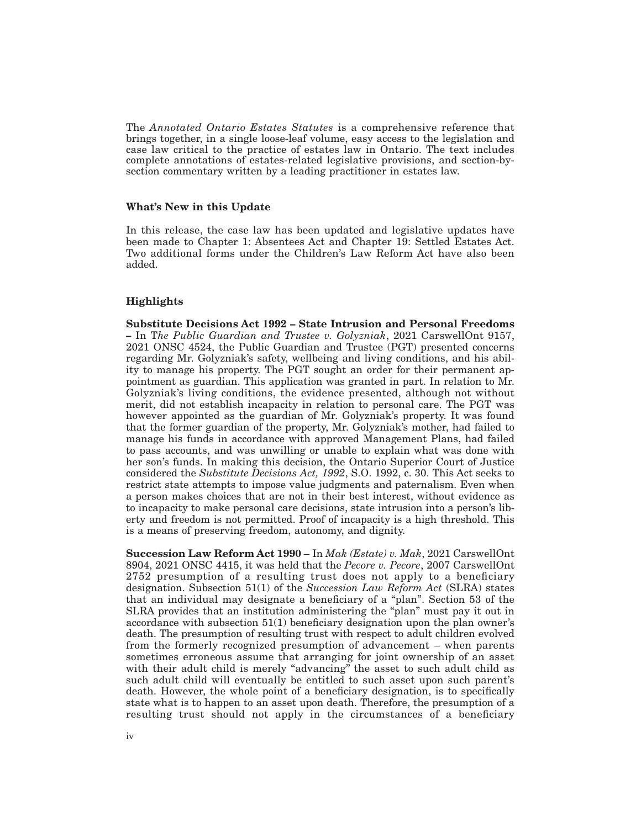The *Annotated Ontario Estates Statutes* is a comprehensive reference that brings together, in a single loose-leaf volume, easy access to the legislation and case law critical to the practice of estates law in Ontario. The text includes complete annotations of estates-related legislative provisions, and section-bysection commentary written by a leading practitioner in estates law.

### **What's New in this Update**

In this release, the case law has been updated and legislative updates have been made to Chapter 1: Absentees Act and Chapter 19: Settled Estates Act. Two additional forms under the Children's Law Reform Act have also been added.

### **Highlights**

**Substitute Decisions Act 1992 – State Intrusion and Personal Freedoms –** In T*he Public Guardian and Trustee v. Golyzniak*, 2021 CarswellOnt 9157, 2021 ONSC 4524, the Public Guardian and Trustee (PGT) presented concerns regarding Mr. Golyzniak's safety, wellbeing and living conditions, and his ability to manage his property. The PGT sought an order for their permanent appointment as guardian. This application was granted in part. In relation to Mr. Golyzniak's living conditions, the evidence presented, although not without merit, did not establish incapacity in relation to personal care. The PGT was however appointed as the guardian of Mr. Golyzniak's property. It was found that the former guardian of the property, Mr. Golyzniak's mother, had failed to manage his funds in accordance with approved Management Plans, had failed to pass accounts, and was unwilling or unable to explain what was done with her son's funds. In making this decision, the Ontario Superior Court of Justice considered the *Substitute Decisions Act, 1992*, S.O. 1992, c. 30. This Act seeks to restrict state attempts to impose value judgments and paternalism. Even when a person makes choices that are not in their best interest, without evidence as to incapacity to make personal care decisions, state intrusion into a person's liberty and freedom is not permitted. Proof of incapacity is a high threshold. This is a means of preserving freedom, autonomy, and dignity.

**Succession Law Reform Act 1990** – In *Mak (Estate) v. Mak*, 2021 CarswellOnt 8904, 2021 ONSC 4415, it was held that the *Pecore v. Pecore*, 2007 CarswellOnt 2752 presumption of a resulting trust does not apply to a beneficiary designation. Subsection 51(1) of the *Succession Law Reform Act* (SLRA) states that an individual may designate a beneficiary of a "plan". Section 53 of the SLRA provides that an institution administering the "plan" must pay it out in accordance with subsection 51(1) beneficiary designation upon the plan owner's death. The presumption of resulting trust with respect to adult children evolved from the formerly recognized presumption of advancement – when parents sometimes erroneous assume that arranging for joint ownership of an asset with their adult child is merely "advancing" the asset to such adult child as such adult child will eventually be entitled to such asset upon such parent's death. However, the whole point of a beneficiary designation, is to specifically state what is to happen to an asset upon death. Therefore, the presumption of a resulting trust should not apply in the circumstances of a beneficiary